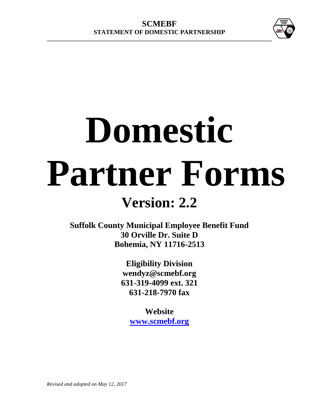

# **Domestic Partner Forms**

# **Version: 2.2**

**Suffolk County Municipal Employee Benefit Fund 30 Orville Dr. Suite D Bohemia, NY 11716-2513**

> **Eligibility Division wendyz@scmebf.org 631-319-4099 ext. 321 631-218-7970 fax**

> > **Website [www.scmebf.org](http://www.scmebf.org/)**

*Revised and adopted on May 12, 2017*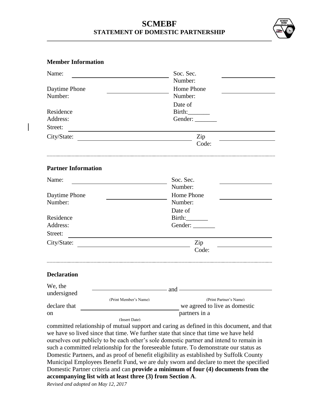## **SCMEBF STATEMENT OF DOMESTIC PARTNERSHIP**



#### **Member Information**

| Name:                                                                                     | Soc. Sec.                                       |  |  |  |  |  |
|-------------------------------------------------------------------------------------------|-------------------------------------------------|--|--|--|--|--|
|                                                                                           | Number:                                         |  |  |  |  |  |
| Daytime Phone<br>Number:                                                                  | Home Phone<br>Number:                           |  |  |  |  |  |
|                                                                                           | Date of                                         |  |  |  |  |  |
| Residence                                                                                 | Birth:                                          |  |  |  |  |  |
| Address:                                                                                  | Gender:                                         |  |  |  |  |  |
| Street:                                                                                   |                                                 |  |  |  |  |  |
| City/State:                                                                               | Zip                                             |  |  |  |  |  |
|                                                                                           | Code:                                           |  |  |  |  |  |
| <b>Partner Information</b>                                                                |                                                 |  |  |  |  |  |
| Name:                                                                                     | Soc. Sec.                                       |  |  |  |  |  |
|                                                                                           | Number:                                         |  |  |  |  |  |
| Daytime Phone                                                                             | Home Phone                                      |  |  |  |  |  |
| Number:                                                                                   | Number:                                         |  |  |  |  |  |
|                                                                                           | Date of                                         |  |  |  |  |  |
| Residence                                                                                 | Birth:                                          |  |  |  |  |  |
| Address:                                                                                  | Gender:                                         |  |  |  |  |  |
| Street:                                                                                   |                                                 |  |  |  |  |  |
| City/State:                                                                               | Zip                                             |  |  |  |  |  |
|                                                                                           | Code:                                           |  |  |  |  |  |
| <b>Declaration</b>                                                                        |                                                 |  |  |  |  |  |
| We, the                                                                                   |                                                 |  |  |  |  |  |
| undersigned                                                                               | and —                                           |  |  |  |  |  |
|                                                                                           | (Print Member's Name)<br>(Print Partner's Name) |  |  |  |  |  |
| declare that                                                                              | we agreed to live as domestic                   |  |  |  |  |  |
| on                                                                                        | partners in a<br>(Insert Date)                  |  |  |  |  |  |
| committed relationship of mutual support and caring as defined in this document, and that |                                                 |  |  |  |  |  |

we have so lived since that time. We further state that since that time we have held ourselves out publicly to be each other's sole domestic partner and intend to remain in such a committed relationship for the foreseeable future. To demonstrate our status as Domestic Partners, and as proof of benefit eligibility as established by Suffolk County Municipal Employees Benefit Fund, we are duly sworn and declare to meet the specified Domestic Partner criteria and can **provide a minimum of four (4) documents from the accompanying list with at least three (3) from Section A**.

*Revised and adopted on May 12, 2017*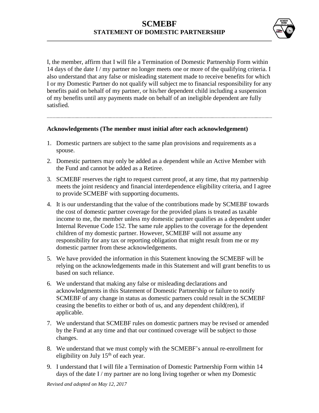

I, the member, affirm that I will file a Termination of Domestic Partnership Form within 14 days of the date I / my partner no longer meets one or more of the qualifying criteria. I also understand that any false or misleading statement made to receive benefits for which I or my Domestic Partner do not qualify will subject me to financial responsibility for any benefits paid on behalf of my partner, or his/her dependent child including a suspension of my benefits until any payments made on behalf of an ineligible dependent are fully satisfied.

#### **Acknowledgements (The member must initial after each acknowledgement)**

- 1. Domestic partners are subject to the same plan provisions and requirements as a spouse.
- 2. Domestic partners may only be added as a dependent while an Active Member with the Fund and cannot be added as a Retiree.
- 3. SCMEBF reserves the right to request current proof, at any time, that my partnership meets the joint residency and financial interdependence eligibility criteria, and I agree to provide SCMEBF with supporting documents.
- 4. It is our understanding that the value of the contributions made by SCMEBF towards the cost of domestic partner coverage for the provided plans is treated as taxable income to me, the member unless my domestic partner qualifies as a dependent under Internal Revenue Code 152. The same rule applies to the coverage for the dependent children of my domestic partner. However, SCMEBF will not assume any responsibility for any tax or reporting obligation that might result from me or my domestic partner from these acknowledgements.
- 5. We have provided the information in this Statement knowing the SCMEBF will be relying on the acknowledgements made in this Statement and will grant benefits to us based on such reliance.
- 6. We understand that making any false or misleading declarations and acknowledgments in this Statement of Domestic Partnership or failure to notify SCMEBF of any change in status as domestic partners could result in the SCMEBF ceasing the benefits to either or both of us, and any dependent child(ren), if applicable.
- 7. We understand that SCMEBF rules on domestic partners may be revised or amended by the Fund at any time and that our continued coverage will be subject to those changes.
- 8. We understand that we must comply with the SCMEBF's annual re-enrollment for eligibility on July  $15<sup>th</sup>$  of each year.
- 9. I understand that I will file a Termination of Domestic Partnership Form within 14 days of the date I / my partner are no long living together or when my Domestic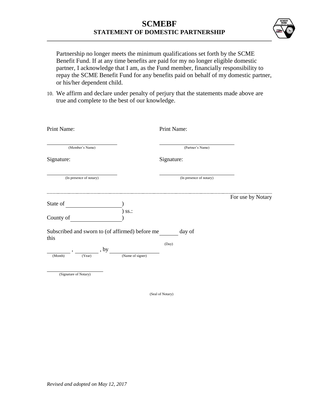

Partnership no longer meets the minimum qualifications set forth by the SCME Benefit Fund. If at any time benefits are paid for my no longer eligible domestic partner, I acknowledge that I am, as the Fund member, financially responsibility to repay the SCME Benefit Fund for any benefits paid on behalf of my domestic partner, or his/her dependent child.

10. We affirm and declare under penalty of perjury that the statements made above are true and complete to the best of our knowledge.

| Print Name:                                             |                  | Print Name:             |                   |
|---------------------------------------------------------|------------------|-------------------------|-------------------|
| (Member's Name)                                         |                  | (Partner's Name)        |                   |
| Signature:                                              |                  | Signature:              |                   |
| (In presence of notary)                                 |                  | (In presence of notary) |                   |
|                                                         |                  |                         | For use by Notary |
| State of                                                |                  |                         |                   |
| County of                                               | $)$ ss.:         |                         |                   |
| Subscribed and sworn to (of affirmed) before me<br>this |                  | day of                  |                   |
| , by                                                    |                  | (Day)                   |                   |
| (Year)<br>(Month)                                       | (Name of signer) |                         |                   |
| (Signature of Notary)                                   |                  |                         |                   |

(Seal of Notary)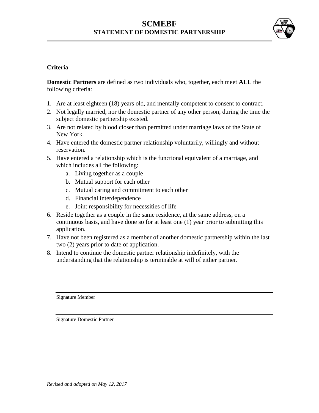# **SCMEBF STATEMENT OF DOMESTIC PARTNERSHIP**



#### **Criteria**

**Domestic Partners** are defined as two individuals who, together, each meet **ALL** the following criteria:

- 1. Are at least eighteen (18) years old, and mentally competent to consent to contract.
- 2. Not legally married, nor the domestic partner of any other person, during the time the subject domestic partnership existed.
- 3. Are not related by blood closer than permitted under marriage laws of the State of New York.
- 4. Have entered the domestic partner relationship voluntarily, willingly and without reservation.
- 5. Have entered a relationship which is the functional equivalent of a marriage, and which includes all the following:
	- a. Living together as a couple
	- b. Mutual support for each other
	- c. Mutual caring and commitment to each other
	- d. Financial interdependence
	- e. Joint responsibility for necessities of life
- 6. Reside together as a couple in the same residence, at the same address, on a continuous basis, and have done so for at least one (1) year prior to submitting this application.
- 7. Have not been registered as a member of another domestic partnership within the last two (2) years prior to date of application.
- 8. Intend to continue the domestic partner relationship indefinitely, with the understanding that the relationship is terminable at will of either partner.

Signature Member

Signature Domestic Partner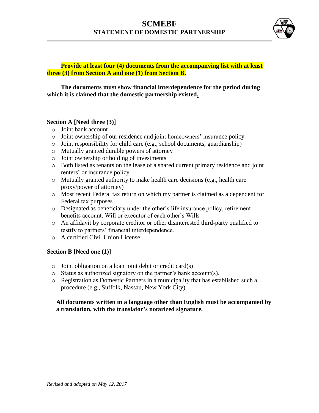

#### **Provide at least four (4) documents from the accompanying list with at least three (3) from Section A and one (1) from Section B.**

#### **The documents must show financial interdependence for the period during which it is claimed that the domestic partnership existed.**

#### **Section A [Need three (3)]**

- o Joint bank account
- o Joint ownership of our residence and joint homeowners' insurance policy
- o Joint responsibility for child care (e.g., school documents, guardianship)
- o Mutually granted durable powers of attorney
- o Joint ownership or holding of investments
- o Both listed as tenants on the lease of a shared current primary residence and joint renters' or insurance policy
- o Mutually granted authority to make health care decisions (e.g., health care proxy/power of attorney)
- o Most recent Federal tax return on which my partner is claimed as a dependent for Federal tax purposes
- o Designated as beneficiary under the other's life insurance policy, retirement benefits account, Will or executor of each other's Wills
- o An affidavit by corporate creditor or other disinterested third-party qualified to testify to partners' financial interdependence.
- o A certified Civil Union License

#### **Section B [Need one (1)]**

- o Joint obligation on a loan joint debit or credit card(s)
- o Status as authorized signatory on the partner's bank account(s).
- o Registration as Domestic Partners in a municipality that has established such a procedure (e.g., Suffolk, Nassau, New York City)

#### **All documents written in a language other than English must be accompanied by a translation, with the translator's notarized signature.**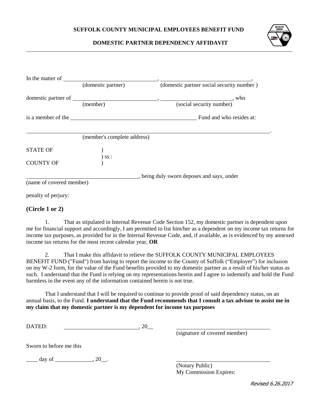

#### **DOMESTIC PARTNER DEPENDENCY AFFIDAVIT**

|                          | (domestic partner)          | (domestic partner social security number)   |
|--------------------------|-----------------------------|---------------------------------------------|
|                          |                             |                                             |
|                          | (member)                    | (social security number)                    |
|                          |                             | is a member of the Fund and who resides at: |
|                          | (member's complete address) |                                             |
| <b>STATE OF</b>          | ) ss.:                      |                                             |
| <b>COUNTY OF</b>         |                             |                                             |
|                          |                             | _, being duly sworn deposes and says, under |
| (name of covered member) |                             |                                             |
| penalty of perjury:      |                             |                                             |

#### **(Circle 1 or 2)**

1. That as stipulated in Internal Revenue Code Section 152, my domestic partner is dependent upon me for financial support and accordingly, I am permitted to list him/her as a dependent on my income tax returns for income tax purposes, as provided for in the Internal Revenue Code, and, if available, as is evidenced by my annexed income tax returns for the most recent calendar year, **OR**

2. That I make this affidavit to relieve the SUFFOLK COUNTY MUNICIPAL EMPLOYEES BENEFIT FUND ("Fund") from having to report the income to the County of Suffolk ("Employer") for inclusion on my W-2 form, for the value of the Fund benefits provided to my domestic partner as a result of his/her status as such. I understand that the Fund is relying on my representations herein and I agree to indemnify and hold the Fund harmless in the event any of the information contained herein is not true.

That I understand that I will be required to continue to provide proof of said dependency status, on an annual basis, to the Fund. **I understand that the Fund recommends that I consult a tax advisor to assist me in my claim that my domestic partner is my dependent for income tax purposes**

DATED: 20\_

(signature of covered member)

Sworn to before me this

 $\frac{day \text{ of }_{x}{x}^{x}}{x}$ 

(Notary Public) My Commission Expires:

Revised 6.26.2017